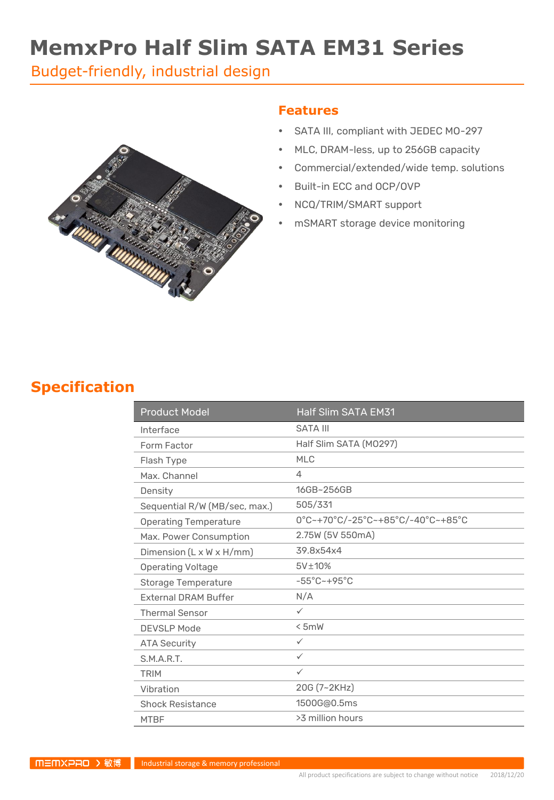# **MemxPro Half Slim SATA EM31 Series**

Budget-friendly, industrial design



#### **Features**

- SATA III, compliant with JEDEC MO-297
- MLC, DRAM-less, up to 256GB capacity
- Commercial/extended/wide temp. solutions
- Built-in ECC and OCP/OVP
- NCQ/TRIM/SMART support
- mSMART storage device monitoring

### **Specification**

| <b>Product Model</b>          | <b>Half Slim SATA EM31</b>        |
|-------------------------------|-----------------------------------|
| Interface                     | <b>SATA III</b>                   |
| Form Factor                   | Half Slim SATA (M0297)            |
| Flash Type                    | MI C                              |
| Max. Channel                  | 4                                 |
| Density                       | 16GB~256GB                        |
| Sequential R/W (MB/sec, max.) | 505/331                           |
| <b>Operating Temperature</b>  | 0°C~+70°C/-25°C~+85°C/-40°C~+85°C |
| Max. Power Consumption        | 2.75W (5V 550mA)                  |
| Dimension (L x W x H/mm)      | 39.8x54x4                         |
| <b>Operating Voltage</b>      | 5V±10%                            |
| Storage Temperature           | $-55^{\circ}$ C $-+95^{\circ}$ C  |
| <b>External DRAM Buffer</b>   | N/A                               |
| <b>Thermal Sensor</b>         | $\checkmark$                      |
| <b>DEVSLP Mode</b>            | < 5mW                             |
| <b>ATA Security</b>           | $\checkmark$                      |
| S.M.A.R.T.                    | $\checkmark$                      |
| <b>TRIM</b>                   | $\checkmark$                      |
| Vibration                     | 20G (7~2KHz)                      |
| <b>Shock Resistance</b>       | 1500G@0.5ms                       |
| <b>MTBF</b>                   | >3 million hours                  |